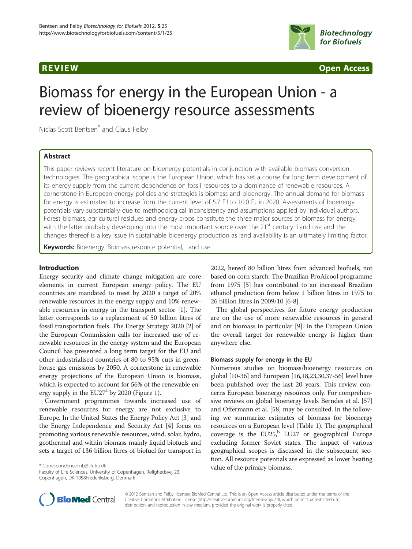

**REVIEW CONSTRUCTION CONSTRUCTION CONSTRUCTS** 

# Biomass for energy in the European Union - a review of bioenergy resource assessments

Niclas Scott Bentsen\* and Claus Felby

# Abstract

This paper reviews recent literature on bioenergy potentials in conjunction with available biomass conversion technologies. The geographical scope is the European Union, which has set a course for long term development of its energy supply from the current dependence on fossil resources to a dominance of renewable resources. A cornerstone in European energy policies and strategies is biomass and bioenergy. The annual demand for biomass for energy is estimated to increase from the current level of 5.7 EJ to 10.0 EJ in 2020. Assessments of bioenergy potentials vary substantially due to methodological inconsistency and assumptions applied by individual authors. Forest biomass, agricultural residues and energy crops constitute the three major sources of biomass for energy, with the latter probably developing into the most important source over the 21<sup>st</sup> century. Land use and the changes thereof is a key issue in sustainable bioenergy production as land availability is an ultimately limiting factor.

Keywords: Bioenergy, Biomass resource potential, Land use

# Introduction

Energy security and climate change mitigation are core elements in current European energy policy. The EU countries are mandated to meet by 2020 a target of 20% renewable resources in the energy supply and 10% renewable resources in energy in the transport sector [[1](#page-6-0)]. The latter corresponds to a replacement of 50 billion litres of fossil transportation fuels. The Energy Strategy 2020 [[2\]](#page-7-0) of the European Commission calls for increased use of renewable resources in the energy system and the European Council has presented a long term target for the EU and other industrialised countries of 80 to 95% cuts in greenhouse gas emissions by 2050. A cornerstone in renewable energy projections of the European Union is biomass, which is expected to account for 56% of the renewable energy supply in the  $EU27<sup>a</sup>$  by 2020 (Figure [1\)](#page-1-0).

Government programmes towards increased use of renewable resources for energy are not exclusive to Europe. In the United States the Energy Policy Act [\[3\]](#page-7-0) and the Energy Independence and Security Act [[4](#page-7-0)] focus on promoting various renewable resources, wind, solar, hydro, geothermal and within biomass mainly liquid biofuels and sets a target of 136 billion litres of biofuel for transport in

Faculty of Life Sciences, University of Copenhagen, Rolighedsvej 23, Copenhagen, DK-1958Frederiksberg, Denmark

2022, hereof 80 billion litres from advanced biofuels, not based on corn starch. The Brazilian ProAlcool programme from 1975 [\[5\]](#page-7-0) has contributed to an increased Brazilian ethanol production from below 1 billion litres in 1975 to 26 billion litres in 2009/10 [\[6](#page-7-0)-[8\]](#page-7-0).

The global perspectives for future energy production are on the use of more renewable resources in general and on biomass in particular [[9](#page-7-0)]. In the European Union the overall target for renewable energy is higher than anywhere else.

#### Biomass supply for energy in the EU

Numerous studies on biomass/bioenergy resources on global [\[10-36](#page-7-0)] and European [\[16,18,23,30,37](#page-7-0)[-56\]](#page-8-0) level have been published over the last 20 years. This review concerns European bioenergy resources only. For comprehensive reviews on global bioenergy levels Berndes et al. [[57](#page-8-0)] and Offermann et al. [[58](#page-8-0)] may be consulted. In the following we summarize estimates of biomass for bioenergy resources on a European level (Table [1](#page-1-0)). The geographical coverage is the EU25, $b$  EU27 or geographical Europe excluding former Soviet states. The impact of various geographical scopes is discussed in the subsequent section. All resource potentials are expressed as lower heating value of the primary biomass. \* Correspondence: [nb@life.ku.dk](mailto:nb@life.ku.dk)



© 2012 Bentsen and Felby; licensee BioMed Central Ltd. This is an Open Access article distributed under the terms of the Creative Commons Attribution License (http://creativecommons.org/licenses/by/2.0), which permits unrestricted use, distribution, and reproduction in any medium, provided the original work is properly cited.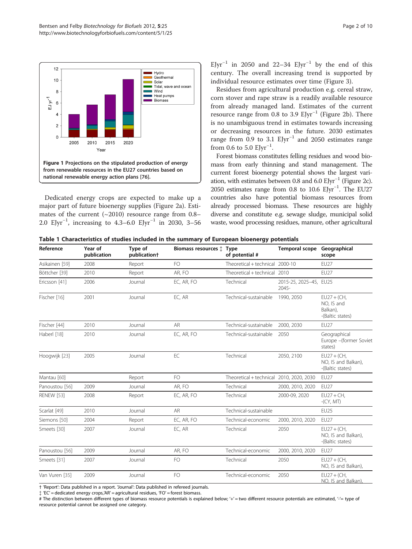<span id="page-1-0"></span>

Dedicated energy crops are expected to make up a major part of future bioenergy supplies (Figure [2a](#page-2-0)). Estimates of the current  $(\sim 2010)$  resource range from 0.8– 2.0 EJyr−<sup>1</sup> , increasing to 4.3–6.0 EJyr−<sup>1</sup> in 2030, 3–56

EJyr<sup>-1</sup> in 2050 and 22–34 EJyr<sup>-1</sup> by the end of this century. The overall increasing trend is supported by individual resource estimates over time (Figure [3](#page-2-0)).

Residues from agricultural production e.g. cereal straw, corn stover and rape straw is a readily available resource from already managed land. Estimates of the current resource range from 0.8 to 3.9  $E[\text{yr}^{-1}]$  (Figure [2b\)](#page-2-0). There is no unambiguous trend in estimates towards increasing or decreasing resources in the future. 2030 estimates range from 0.9 to 3.1  $E$ Jyr<sup>-1</sup> and 2050 estimates range from 0.6 to 5.0  $E$ Jyr<sup>-1</sup>.

Forest biomass constitutes felling residues and wood biomass from early thinning and stand management. The current forest bioenergy potential shows the largest variation, with estimates between 0.8 and 6.0  $E[\text{yr}^{-1}]$  (Figure [2c\)](#page-2-0). 2050 estimates range from 0.8 to 10.6 EJyr<sup>-1</sup>. The EU27 countries also have potential biomass resources from already processed biomass. These resources are highly diverse and constitute e.g. sewage sludge, municipal solid waste, wood processing residues, manure, other agricultural

|  |  |  |  |  | Table 1 Characteristics of studies included in the summary of European bioenergy potentials |
|--|--|--|--|--|---------------------------------------------------------------------------------------------|
|--|--|--|--|--|---------------------------------------------------------------------------------------------|

| Reference         | Year of<br>publication | Type of<br>publication <sup>+</sup> | Biomass resources $\ddagger$ Type | of potential #                           | Temporal scope Geographical     | scope                                                       |
|-------------------|------------------------|-------------------------------------|-----------------------------------|------------------------------------------|---------------------------------|-------------------------------------------------------------|
| Asikainen [59]    | 2008                   | Report                              | FO.                               | Theoretical + technical 2000-10          |                                 | <b>EU27</b>                                                 |
| Böttcher [39]     | 2010                   | Report                              | AR, FO                            | Theoretical + technical 2010             |                                 | <b>EU27</b>                                                 |
| Ericsson [41]     | 2006                   | Journal                             | EC, AR, FO                        | Technical                                | 2015-25, 2025-45, EU25<br>2045- |                                                             |
| Fischer [16]      | 2001                   | Journal                             | EC, AR                            | Technical-sustainable                    | 1990, 2050                      | $EU27 + (CH,$<br>NO, IS and<br>Balkan),<br>-(Baltic states) |
| Fischer [44]      | 2010                   | Journal                             | <b>AR</b>                         | Technical-sustainable                    | 2000, 2030                      | <b>EU27</b>                                                 |
| Haberl [18]       | 2010                   | Journal                             | EC, AR, FO                        | Technical-sustainable                    | 2050                            | Geographical<br>Europe - (former Soviet<br>states)          |
| Hoogwijk [23]     | 2005                   | Journal                             | EC                                | Technical                                | 2050, 2100                      | $EU27 + (CH.$<br>NO, IS and Balkan),<br>-(Baltic states)    |
| Mantau [60]       |                        | Report                              | FO.                               | Theoretical + technical 2010, 2020, 2030 |                                 | <b>EU27</b>                                                 |
| Panoustou [56]    | 2009                   | Journal                             | AR, FO                            | Technical                                | 2000, 2010, 2020                | <b>EU27</b>                                                 |
| <b>RENEW [53]</b> | 2008                   | Report                              | EC. AR. FO                        | Technical                                | 2000-09, 2020                   | $EU27 + CH.$<br>$-(CY, MT)$                                 |
| Scarlat [49]      | 2010                   | Journal                             | <b>AR</b>                         | Technical-sustainable                    |                                 | <b>EU25</b>                                                 |
| Siemons [50]      | 2004                   | Report                              | EC, AR, FO                        | Technical-economic                       | 2000, 2010, 2020                | <b>EU27</b>                                                 |
| Smeets [30]       | 2007                   | Journal                             | EC, AR                            | Technical                                | 2050                            | $EU27 + (CH,$<br>NO, IS and Balkan),<br>-(Baltic states)    |
| Panoustou [56]    | 2009                   | Journal                             | AR, FO                            | Technical-economic                       | 2000, 2010, 2020                | <b>EU27</b>                                                 |
| Smeets [31]       | 2007                   | Journal                             | FO                                | Technical                                | 2050                            | $EU27 + (CH,$<br>NO, IS and Balkan),                        |
| Van Vuren [35]    | 2009                   | Journal                             | FO                                | Technical-economic                       | 2050                            | $EU27 + (CH,$<br>NO. IS and Balkan)                         |

† 'Report': Data published in a report. 'Journal': Data published in refereed journals.

{ 'EC' = dedicated energy crops,'AR' = agricultural residues, 'FO' = forest biomass.

# The distinction between different types of biomass resource potentials is explained below; '+' = two different resource potentials are estimated, '-'= type of resource potential cannot be assigned one category.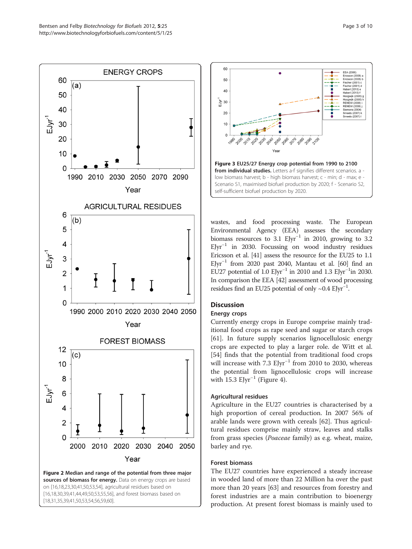<span id="page-2-0"></span>

on [[16](#page-7-0),[18](#page-7-0),[23](#page-7-0),[30](#page-7-0),[41](#page-7-0)[,50,53,54](#page-8-0)], agricultural residues based on [[16](#page-7-0),[18](#page-7-0),[30](#page-7-0),[39](#page-7-0),[41](#page-7-0),[44](#page-7-0),[49](#page-8-0),[50](#page-8-0),[53](#page-8-0),[55,56](#page-8-0)], and forest biomass based on [[18](#page-7-0),[31](#page-7-0),[35](#page-7-0),[39](#page-7-0),[41](#page-7-0),[50](#page-8-0),[53](#page-8-0),[54](#page-8-0),[56](#page-8-0),[59,60](#page-8-0)].



wastes, and food processing waste. The European Environmental Agency (EEA) assesses the secondary biomass resources to 3.1  $E[yr^{-1}$  in 2010, growing to 3.2  $E[\text{yr}^{-1}]$  in 2030. Focussing on wood industry residues Ericsson et al. [\[41\]](#page-7-0) assess the resource for the EU25 to 1.1 EJyr<sup>-1</sup> from 2020 past 2040, Mantau et al. [\[60\]](#page-8-0) find an EU27 potential of 1.0 EJyr<sup>-1</sup> in 2010 and 1.3 EJyr<sup>-1</sup>in 2030. In comparison the EEA [\[42\]](#page-7-0) assessment of wood processing residues find an EU25 potential of only ~0.4 EJyr<sup>-1</sup>.

# **Discussion**

# Energy crops

Currently energy crops in Europe comprise mainly traditional food crops as rape seed and sugar or starch crops [[61\]](#page-8-0). In future supply scenarios lignocellulosic energy crops are expected to play a larger role. de Witt et al. [[54\]](#page-8-0) finds that the potential from traditional food crops will increase with 7.3  $E[yr^{-1}$  from 2010 to 2030, whereas the potential from lignocellulosic crops will increase with 15.3  $E\text{Jyr}^{-1}$  (Figure [4\)](#page-3-0).

# Agricultural residues

Agriculture in the EU27 countries is characterised by a high proportion of cereal production. In 2007 56% of arable lands were grown with cereals [[62](#page-8-0)]. Thus agricultural residues comprise mainly straw, leaves and stalks from grass species (Poaceae family) as e.g. wheat, maize, barley and rye.

# Forest biomass

The EU27 countries have experienced a steady increase in wooded land of more than 22 Million ha over the past more than 20 years [[63](#page-8-0)] and resources from forestry and forest industries are a main contribution to bioenergy production. At present forest biomass is mainly used to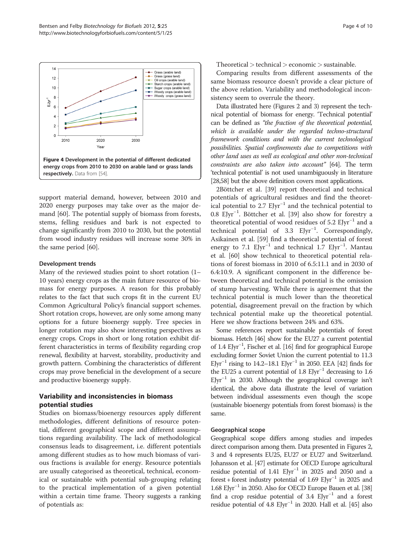<span id="page-3-0"></span>

support material demand, however, between 2010 and 2020 energy purposes may take over as the major demand [[60\]](#page-8-0). The potential supply of biomass from forests, stems, felling residues and bark is not expected to change significantly from 2010 to 2030, but the potential from wood industry residues will increase some 30% in the same period [[60](#page-8-0)].

### Development trends

Many of the reviewed studies point to short rotation (1– 10 years) energy crops as the main future resource of biomass for energy purposes. A reason for this probably relates to the fact that such crops fit in the current EU Common Agricultural Policy's financial support schemes. Short rotation crops, however, are only some among many options for a future bioenergy supply. Tree species in longer rotation may also show interesting perspectives as energy crops. Crops in short or long rotation exhibit different characteristics in terms of flexibility regarding crop renewal, flexibility at harvest, storability, productivity and growth pattern. Combining the characteristics of different crops may prove beneficial in the development of a secure and productive bioenergy supply.

# Variability and inconsistencies in biomass potential studies

Studies on biomass/bioenergy resources apply different methodologies, different definitions of resource potential, different geographical scope and different assumptions regarding availability. The lack of methodological consensus leads to disagreement, i.e. different potentials among different studies as to how much biomass of various fractions is available for energy. Resource potentials are usually categorised as theoretical, technical, economical or sustainable with potential sub-grouping relating to the practical implementation of a given potential within a certain time frame. Theory suggests a ranking of potentials as:

 $Theoretical > technical > economic > sustainable.$ 

Comparing results from different assessments of the same biomass resource doesn't provide a clear picture of the above relation. Variability and methodological inconsistency seem to overrule the theory.

Data illustrated here (Figures [2](#page-2-0) and [3](#page-2-0)) represent the technical potential of biomass for energy. 'Technical potential' can be defined as "the fraction of the theoretical potential, which is available under the regarded techno-structural framework conditions and with the current technological possibilities. Spatial confinements due to competitions with other land uses as well as ecological and other non-technical constraints are also taken into account" [\[64\]](#page-8-0). The term 'technical potential' is not used unambiguously in literature [[28](#page-7-0)[,58](#page-8-0)] but the above definition covers most applications.

2Böttcher et al. [[39](#page-7-0)] report theoretical and technical potentials of agricultural residues and find the theoretical potential to 2.7  $E[yr^{-1}]$  and the technical potential to 0.8 EJyr−<sup>1</sup> . Böttcher et al. [[39\]](#page-7-0) also show for forestry a theoretical potential of wood residues of 5.2  $E$ Jyr<sup>-1</sup> and a technical potential of 3.3 EJyr<sup>-1</sup>. Correspondingly, Asikainen et al. [\[59\]](#page-8-0) find a theoretical potential of forest energy to 7.1 EJyr<sup>-1</sup> and technical 1.7 EJyr<sup>-1</sup>. Mantau et al. [[60\]](#page-8-0) show technical to theoretical potential relations of forest biomass in 2010 of 6.5:11.1 and in 2030 of 6.4:10.9. A significant component in the difference between theoretical and technical potential is the omission of stump harvesting. While there is agreement that the technical potential is much lower than the theoretical potential, disagreement prevail on the fraction by which technical potential make up the theoretical potential. Here we show fractions between 24% and 63%.

Some references report sustainable potentials of forest biomass. Hetch [\[46\]](#page-7-0) show for the EU27 a current potential of 1.4 EJyr−<sup>1</sup> , Fischer et al. [\[16](#page-7-0)] find for geographical Europe excluding former Soviet Union the current potential to 11.3 EJyr<sup>-1</sup> rising to 14.2–18.1 EJyr<sup>-1</sup> in 2050. EEA [\[42\]](#page-7-0) finds for the EU25 a current potential of 1.8 EJyr−<sup>1</sup> decreasing to 1.6 EJyr<sup>-1</sup> in 2030. Although the geographical coverage isn't identical, the above data illustrate the level of variation between individual assessments even though the scope (sustainable bioenergy potentials from forest biomass) is the same.

#### Geographical scope

Geographical scope differs among studies and impedes direct comparison among them. Data presented in Figures [2](#page-2-0), [3](#page-2-0) and 4 represents EU25, EU27 or EU27 and Switzerland. Johansson et al. [\[47](#page-7-0)] estimate for OECD Europe agricultural residue potential of 1.41 EJyr−<sup>1</sup> in 2025 and 2050 and a forest + forest industry potential of 1.69 EJyr<sup>-1</sup> in 2025 and 1.68 EJyr−<sup>1</sup> in 2050. Also for OECD Europe Bauen et al. [\[38](#page-7-0)] find a crop residue potential of 3.4  $E[yr^{-1}$  and a forest residue potential of 4.8 EJyr−<sup>1</sup> in 2020. Hall et al. [\[45\]](#page-7-0) also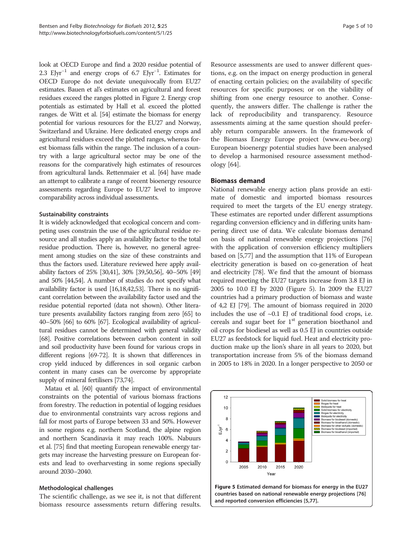look at OECD Europe and find a 2020 residue potential of 2.3 EJyr<sup>-1</sup> and energy crops of 6.7 EJyr<sup>-1</sup>. Estimates for OECD Europe do not deviate unequivocally from EU27 estimates. Bauen et al's estimates on agricultural and forest residues exceed the ranges plotted in Figure [2.](#page-2-0) Energy crop potentials as estimated by Hall et al. exceed the plotted ranges. de Witt et al. [\[54\]](#page-8-0) estimate the biomass for energy potential for various resources for the EU27 and Norway, Switzerland and Ukraine. Here dedicated energy crops and agricultural residues exceed the plotted ranges, whereas forest biomass falls within the range. The inclusion of a country with a large agricultural sector may be one of the reasons for the comparatively high estimates of resources from agricultural lands. Rettenmaier et al. [\[64\]](#page-8-0) have made an attempt to calibrate a range of recent bioenergy resource assessments regarding Europe to EU27 level to improve comparability across individual assessments.

# Sustainability constraints

It is widely acknowledged that ecological concern and competing uses constrain the use of the agricultural residue resource and all studies apply an availability factor to the total residue production. There is, however, no general agreement among studies on the size of these constraints and thus the factors used. Literature reviewed here apply availability factors of 25% [\[30,41](#page-7-0)], 30% [\[39,](#page-7-0)[50,56\]](#page-8-0), 40–50% [\[49](#page-8-0)] and 50% [\[44](#page-7-0)[,54\]](#page-8-0). A number of studies do not specify what availability factor is used [\[16,18,42,](#page-7-0)[53](#page-8-0)]. There is no significant correlation between the availability factor used and the residue potential reported (data not shown). Other literature presents availability factors ranging from zero [\[65\]](#page-8-0) to 40–50% [\[66\]](#page-8-0) to 60% [\[67\]](#page-8-0). Ecological availability of agricultural residues cannot be determined with general validity [[68](#page-8-0)]. Positive correlations between carbon content in soil and soil productivity have been found for various crops in different regions [[69](#page-8-0)-[72](#page-8-0)]. It is shown that differences in crop yield induced by differences in soil organic carbon content in many cases can be overcome by appropriate supply of mineral fertilisers [\[73,74](#page-8-0)].

Matau et al. [[60\]](#page-8-0) quantify the impact of environmental constraints on the potential of various biomass fractions from forestry. The reduction in potential of logging residues due to environmental constraints vary across regions and fall for most parts of Europe between 33 and 50%. However in some regions e.g. northern Scotland, the alpine region and northern Scandinavia it may reach 100%. Nabuurs et al. [[75](#page-8-0)] find that meeting European renewable energy targets may increase the harvesting pressure on European forests and lead to overharvesting in some regions specially around 2030–2040.

#### Methodological challenges

The scientific challenge, as we see it, is not that different biomass resource assessments return differing results.

Resource assessments are used to answer different questions, e.g. on the impact on energy production in general of enacting certain policies; on the availability of specific resources for specific purposes; or on the viability of shifting from one energy resource to another. Consequently, the answers differ. The challenge is rather the lack of reproducibility and transparency. Resource assessments aiming at the same question should preferably return comparable answers. In the framework of the Biomass Energy Europe project ([www.eu-bee.org](http://www.eu-bee.org)) European bioenergy potential studies have been analysed to develop a harmonised resource assessment methodology [[64\]](#page-8-0).

# Biomass demand

National renewable energy action plans provide an estimate of domestic and imported biomass resources required to meet the targets of the EU energy strategy. These estimates are reported under different assumptions regarding conversion efficiency and in differing units hampering direct use of data. We calculate biomass demand on basis of national renewable energy projections [[76](#page-8-0)] with the application of conversion efficiency multipliers based on [[5](#page-7-0)[,77](#page-8-0)] and the assumption that 11% of European electricity generation is based on co-generation of heat and electricity [[78](#page-8-0)]. We find that the amount of biomass required meeting the EU27 targets increase from 3.8 EJ in 2005 to 10.0 EJ by 2020 (Figure 5). In 2009 the EU27 countries had a primary production of biomass and waste of 4,2 EJ [[79](#page-8-0)]. The amount of biomass required in 2020 includes the use of  $\sim 0.1$  EJ of traditional food crops, i.e. cereals and sugar beet for  $1<sup>st</sup>$  generation bioethanol and oil crops for biodiesel as well as 0.5 EJ in countries outside EU27 as feedstock for liquid fuel. Heat and electricity production make up the lion's share in all years to 2020, but transportation increase from 5% of the biomass demand in 2005 to 18% in 2020. In a longer perspective to 2050 or

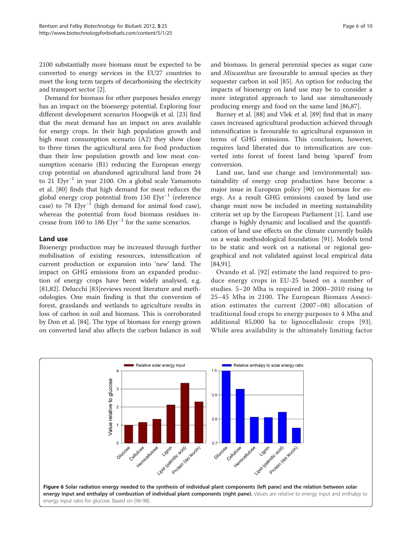<span id="page-5-0"></span>2100 substantially more biomass must be expected to be converted to energy services in the EU27 countries to meet the long term targets of decarbonising the electricity and transport sector [\[2](#page-7-0)].

Demand for biomass for other purposes besides energy has an impact on the bioenergy potential. Exploring four different development scenarios Hoogwijk et al. [[23](#page-7-0)] find that the meat demand has an impact on area available for energy crops. In their high population growth and high meat consumption scenario (A2) they show close to three times the agricultural area for food production than their low population growth and low meat consumption scenario (B1) reducing the European energy crop potential on abandoned agricultural land from 24 to 21 EJyr−<sup>1</sup> in year 2100. On a global scale Yamamoto et al. [\[80](#page-8-0)] finds that high demand for meat reduces the global energy crop potential from 150 EJyr<sup>-1</sup> (reference case) to 78 EJyr<sup>-1</sup> (high demand for animal food case), whereas the potential from food biomass residues increase from 160 to 186 EJyr<sup>-1</sup> for the same scenarios.

# Land use

Bioenergy production may be increased through further mobilisation of existing resources, intensification of current production or expansion into 'new' land. The impact on GHG emissions from an expanded production of energy crops have been widely analysed, e.g. [[81,82\]](#page-8-0). Delucchi [\[83](#page-8-0)]reviews recent literature and methodologies. One main finding is that the conversion of forest, grasslands and wetlands to agriculture results in loss of carbon in soil and biomass. This is corroborated by Don et al. [[84](#page-8-0)]. The type of biomass for energy grown on converted land also affects the carbon balance in soil

and biomass. In general perennial species as sugar cane and Miscanthus are favourable to annual species as they sequester carbon in soil [[85](#page-8-0)]. An option for reducing the impacts of bioenergy on land use may be to consider a more integrated approach to land use simultaneously producing energy and food on the same land [\[86,87\]](#page-8-0).

Burney et al. [\[88](#page-8-0)] and Vlek et al. [\[89](#page-8-0)] find that in many cases increased agricultural production achieved through intensification is favourable to agricultural expansion in terms of GHG emissions. This conclusion, however, requires land liberated due to intensification are converted into forest of forest land being 'spared' from conversion.

Land use, land use change and (environmental) sustainability of energy crop production have become a major issue in European policy [[90\]](#page-8-0) on biomass for energy. As a result GHG emissions caused by land use change must now be included in meeting sustainability criteria set up by the European Parliament [[1](#page-6-0)]. Land use change is highly dynamic and localised and the quantification of land use effects on the climate currently builds on a weak methodological foundation [\[91\]](#page-8-0). Models tend to be static and work on a national or regional geographical and not validated against local empirical data [[84,91\]](#page-8-0).

Ovando et al. [\[92\]](#page-8-0) estimate the land required to produce energy crops in EU-25 based on a number of studies. 5–20 Mha is required in 2000–2010 rising to 25–45 Mha in 2100. The European Biomass Association estimates the current (2007–08) allocation of traditional food crops to energy purposes to 4 Mha and additional 85,000 ha to lignocellulosic crops [[93](#page-8-0)]. While area availability is the ultimately limiting factor

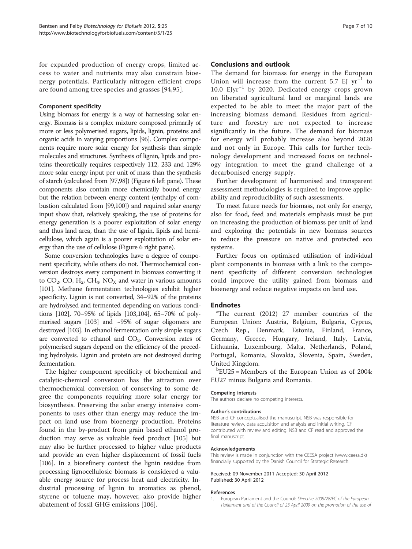<span id="page-6-0"></span>for expanded production of energy crops, limited access to water and nutrients may also constrain bioenergy potentials. Particularly nitrogen efficient crops are found among tree species and grasses [\[94](#page-8-0),[95\]](#page-8-0).

### Component specificity

Using biomass for energy is a way of harnessing solar energy. Biomass is a complex mixture composed primarily of more or less polymerised sugars, lipids, lignin, proteins and organic acids in varying proportions [\[96\]](#page-8-0). Complex components require more solar energy for synthesis than simple molecules and structures. Synthesis of lignin, lipids and proteins theoretically requires respectively 112, 233 and 129% more solar energy input per unit of mass than the synthesis of starch (calculated from [[97,98](#page-8-0)]) (Figure [6](#page-5-0) left pane). These components also contain more chemically bound energy but the relation between energy content (enthalpy of combustion calculated from [\[99,](#page-8-0)[100\]](#page-9-0)) and required solar energy input show that, relatively speaking, the use of proteins for energy generation is a poorer exploitation of solar energy and thus land area, than the use of lignin, lipids and hemicellulose, which again is a poorer exploitation of solar energy than the use of cellulose (Figure [6](#page-5-0) right pane).

Some conversion technologies have a degree of component specificity, while others do not. Thermochemical conversion destroys every component in biomass converting it to  $CO_2$ , CO, H<sub>2</sub>, CH<sub>4</sub>, NO<sub>X</sub> and water in various amounts [[101\]](#page-9-0). Methane fermentation technologies exhibit higher specificity. Lignin is not converted, 34–92% of the proteins are hydrolysed and fermented depending on various conditions [\[102](#page-9-0)], 70–95% of lipids [[103,104](#page-9-0)], 65–70% of polymerised sugars [[103\]](#page-9-0) and ~95% of sugar oligomers are destroyed [\[103](#page-9-0)]. In ethanol fermentation only simple sugars are converted to ethanol and  $CO<sub>2</sub>$ . Conversion rates of polymerised sugars depend on the efficiency of the preceding hydrolysis. Lignin and protein are not destroyed during fermentation.

The higher component specificity of biochemical and catalytic-chemical conversion has the attraction over thermochemical conversion of conserving to some degree the components requiring more solar energy for biosynthesis. Preserving the solar energy intensive components to uses other than energy may reduce the impact on land use from bioenergy production. Proteins found in the by-product from grain based ethanol production may serve as valuable feed product [\[105\]](#page-9-0) but may also be further processed to higher value products and provide an even higher displacement of fossil fuels [[106\]](#page-9-0). In a biorefinery context the lignin residue from processing lignocellulosic biomass is considered a valuable energy source for process heat and electricity. Industrial processing of lignin to aromatics as phenol, styrene or toluene may, however, also provide higher abatement of fossil GHG emissions [\[106](#page-9-0)].

### Conclusions and outlook

The demand for biomass for energy in the European Union will increase from the current 5.7 EJ  $yr^{-1}$  to 10.0 EJyr−<sup>1</sup> by 2020. Dedicated energy crops grown on liberated agricultural land or marginal lands are expected to be able to meet the major part of the increasing biomass demand. Residues from agriculture and forestry are not expected to increase significantly in the future. The demand for biomass for energy will probably increase also beyond 2020 and not only in Europe. This calls for further technology development and increased focus on technology integration to meet the grand challenge of a decarbonised energy supply.

Further development of harmonised and transparent assessment methodologies is required to improve applicability and reproducibility of such assessments.

To meet future needs for biomass, not only for energy, also for food, feed and materials emphasis must be put on increasing the production of biomass per unit of land and exploring the potentials in new biomass sources to reduce the pressure on native and protected eco systems.

Further focus on optimised utilisation of individual plant components in biomass with a link to the component specificity of different conversion technologies could improve the utility gained from biomass and bioenergy and reduce negative impacts on land use.

# **Endnotes**

 ${}^{\text{a}}$ The current (2012) 27 member countries of the European Union: Austria, Belgium, Bulgaria, Cyprus, Czech Rep., Denmark, Estonia, Finland, France, Germany, Greece, Hungary, Ireland, Italy, Latvia, Lithuania, Luxembourg, Malta, Netherlands, Poland, Portugal, Romania, Slovakia, Slovenia, Spain, Sweden, United Kingdom.

b EU25 = Members of the European Union as of 2004: EU27 minus Bulgaria and Romania.

#### Competing interests

The authors declare no competing interests.

#### Author's contributions

NSB and CF conceptualised the manuscript. NSB was responsible for literature review, data acquisition and analysis and initial writing. CF contributed with review and editing. NSB and CF read and approved the final manuscript.

#### Acknowledgements

This review is made in conjunction with the CEESA project [\(www.ceesa.dk\)](http://www.ceesa.dk) financially supported by the Danish Council for Strategic Research.

Received: 09 November 2011 Accepted: 30 April 2012 Published: 30 April 2012

#### References

1. European Parliament and the Council: Directive 2009/28/EC of the European Parliament and of the Council of 23 April 2009 on the promotion of the use of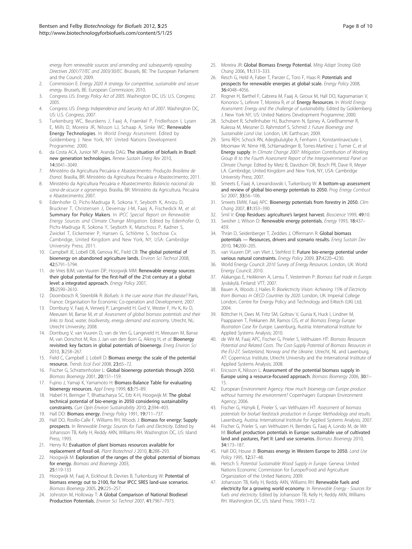<span id="page-7-0"></span>energy from renewable sources and amending and subsequently repealing Directives 2001/77/EC and 2003/30/EC. Brussels, BE: The European Parliament and the Council; 2009.

- 2. Commission E: Energy 2020 A strategy for competitive, sustainable and secure energy. Brussels, BE: European Commission; 2010.
- 3. Congress US: Energy Policy Act of 2005. Washington DC, US: U.S. Congress; 2005.
- 4. Congress US: Energy Independence and Security Act of 2007. Washington DC, US: U.S. Congress; 2007.
- Turkenburg WC, Beurskens J, Faaij A, Fraenkel P, Fridleifsson I, Lysen E, Mills D, Moreira JR, Nilsson LJ, Schaap A, Sinke WC: Renewable Energy Technologies. In World Energy Assessment. Edited by Goldemberg J. New York, NY: United Nations Development Programme; 2000.
- 6. da Costa ACA, Junior NP, Aranda DAG: The situation of biofuels in Brazil: new generation technologies. Renew Sustain Energ Rev 2010, 14:3041–3049.
- 7. Ministério da Agricultura Pecuária e Abastecimento: Produção Brasileira de Etanol. Brasilia, BR: Ministério da Agricultura Pecuária e Abastecimento; 2011.
- 8. Ministério da Agricultura Pecuária e Abastecimento: Balancio nacional da cana-de-acucar e agroenergia. Brasilia, BR: Ministério da Agricultura, Pecuária e Abastecimento; 2007.
- 9. Edenhofer O, Pichs-Madruga R, Sokona Y, Seyboth K, Arvizu D, Bruckner T, Christensen J, Devernay J-M, Faaij A, Fischedick M, et al: Summary for Policy Makers. In IPCC Special Report on Renewable Energy Sources and Climate Change Mitigation. Edited by Edenhofer O, Pichs-Madruga R, Sokona Y, Seyboth K, Matschoss P, Kadner S, Zwickel T, Eickemeier P, Hansen G, Schlöme S, Stechow Cv. Cambridge, United Kingdom and New York, NY, USA: Cambridge University Press; 2011.
- 10. Campbell JE, Lobell DB, Genova RC, Field CB: The global potential of bioenergy on abandoned agriculture lands. Environ Sci Technol 2008, 42:5791–5794.
- 11. de Vries BJM, van Vuuren DP, Hoogwijk MM: Renewable energy sources: their global potential for the first-half of the 21st century at a global level: a integrated approach. Energy Policy 2007, 35:2590–2610.
- 12. Doornbosch R, Steenblik R: Biofuels: Is the cure worse than the disease? Paris, France: Organisation for Economic Co-operation and Development; 2007.
- 13. Dornburg V, Faaij A, Verweij P, Langeveld H, Gvd V, Wester F, Hv K, Kv D, Meeusen M, Banse M, et al: Assessment of global biomass potentials and their links to food, water, biodiversity, energy demand and economy. Utrecht, NL: Utrecht University; 2008.
- 14. Dornburg V, van Vuuren D, van de Ven G, Langeveld H, Meeusen M, Banse M, van Oorschot M, Ros J, Jan van den Born G, Aiking H, et al: Bioenergy revisited: key factors in global potentials of bioenergy. Energ Environ Sci 2010, 3:258–267.
- 15. Field C, Campbell J, Lobell D: Biomass energy: the scale of the potential resource. Trends Ecol Evol 2008, 23:65–72.
- 16. Fischer G, Schrattenholzer L: Global bioenergy potentials through 2050. Biomass Bioenergy 2001, 20:151–159.
- 17. Fujino J, Yamaji K, Yamamoto H: Biomass-Balance Table for evaluating bioenergy resources. Appl Energ 1999, 63:75–89.
- 18. Haberl H, Beringer T, Bhattacharya SC, Erb K-H, Hoogwijk M: The global technical potential of bio-energy in 2050 considering sustainability constraints. Curr Opin Environ Sustainability 2010, 2:394–403.
- 19. Hall DO: Biomass energy. Energy Policy 1991, 19:711-737.
- 20. Hall DO, Rosillo-Calle F, Williams RH, Woods J: Biomass for energy: Supply prospects. In Renewable Energy: Sources for Fuels and Electricity. Edited by Johansson TB, Kelly H, Reddy AKN, Williams RH. Washington DC, US: Island Press; 1993.
- 21. Henry RJ: Evaluation of plant biomass resources available for replacement of fossil oil. Plant Biotechnol J 2010, 8:288–293.
- 22. Hoogwijk M: Exploration of the ranges of the global potential of biomass for energy. Biomass and Bioenergy 2003, 25:119-133
- 23. Hoogwijk M, Faaij A, Eickhout B, Devries B, Turkenburg W: Potential of biomass energy out to 2100, for four IPCC SRES land-use scenarios. Biomass Bioenergy 2005, 29:225–257.
- 24. Johnston M, Holloway T: A Global Comparison of National Biodiesel Production Potentials. Environ Sci Technol 2007, 41:7967–7973.
- 25. Moreira JR: Global Biomass Energy Potential. Mitig Adapt Strateg Glob Chang 2006, 11:313–333.
- 26. Resch G, Held A, Faber T, Panzer C, Toro F, Haas R: Potentials and prospects for renewable energies at global scale. Energy Policy 2008, 36:4048–4056.
- 27. Rogner H, Barthel F, Cabrera M, Faaij A, Giroux M, Hall DO, Kagramanian V, Kononov S, Lefevre T, Moreira R, et al: Energy Resources. In World Energy Assessment: Energy and the challenge of sustainability. Edited by Goldemberg J. New York NY, US: United Nations Development Programme; 2000.
- 28. Schubert R, Schellnhuber HJ, Buchmann N, Epiney A, Grießhammer R, Kulessa M, Messner D, Rahmstorf S, Schmid J: Future Bioenergy and Sustainable Land Use. London, UK: Earthscan; 2009.
- 29. Sims REH, Schock RN, Adegbululgbe A, Fenhann J, Konstantinaviciute I, Moomaw W, Nimir HB, Schlamadinger B, Torres-Martínez J, Turner C, et al: Energy supply. In Climate Change 2007: Mitigation Contribution of Working Group III to the Fourth Assessment Report of the Intergovernmental Panel on Climate Change. Edited by Metz B, Davidson OR, Bosch PR, Dave R, Meyer LA. Cambridge, United Kingdom and New York, NY, USA: Cambridge University Press; 2007.
- 30. Smeets E, Faaij A, Lewandowski I, Turkenburg W: A bottom-up assessment and review of global bio-energy potentials to 2050. Prog Energy Combust Sci 2007, 33:56–106.
- 31. Smeets EMW, Faaij APC: Bioenergy potentials from forestry in 2050. Clim Chang 2007, 81:353–390.
- 32. Smil V: Crop Residues: agriculture's largest harvest. Bioscience 1999, 49:10.
- 33. Swisher J, Wilson D: Renewable energy potentials. Energy 1993, 18:437-459.
- 34. Thrän D, Seidenberger T, Zeddies J, Offermann R: Global biomass potentials — Resources, drivers and scenario results. Energ Sustain Dev 2010, 14:200–205.
- 35. van Vuuren DP, van Vliet J, Stehfest E: Future bio-energy potential under various natural constraints. Energy Policy 2009, 37:4220–4230.
- 36. World Energy Council: 2010 Survey of Energy Resources. London, UK: World Energy Council; 2010.
- 37. Alakangas E, Heikkinen A, Lensu T, Vesterinen P: Biomass fuel trade in Europe. Jyväskylä, Finland: VTT; 2007.
- 38. Bauen A, Woods J, Hailes R: Bioelectricity Vision: Achieving 15% of Electricity from Biomass in OECD Countries by 2020. London, UK: Imperial College London, Centre for Energy Policy and Technology and E4tech (UK) Ltd; 2004.
- 39. Böttcher H, Dees M, Fritz SM, Goltsev V, Gunia K, Huck I, Lindner M, Paappanen T, Pekkanen JM, Ramos CIS, et al: Biomass Energy Europe: Illustration Case for Europe. Laxenburg, Austria: International Institute for Applied Systems Analysis; 2010.
- 40. de Wit M, Faaij APC, Fischer G, Prieler S, Velthuizen HT: Biomass Resources Potential and Related Costs. The Cost-Supply Potential of Biomass Resources in the EU-27, Switzerland, Norway and the Ukraine. Utrecht, NL and Laxenburg, AT: Copernicus Institute, Utrecht University and the International Institute of Applied Systems Analysis; 2008.
- 41. Ericsson K, Nilsson L: Assessment of the potential biomass supply in Europe using a resource-focused approach. Biomass Bioenergy 2006, 30:1– 15.
- 42. European Environment Agency: How much bioenergy can Europe produce without harming the environment? Copenhagen: European Environment Agency; 2006.
- 43. Fischer G, Hiznyik E, Prieler S, van Velthuizen HT: Assessment of biomass potentials for biofuel feedstock production in Europe: Methodology and results. Laxenburg, Austria: International Institute for Applied Systems Analysis; 2007.
- 44. Fischer G, Prieler S, van Velthuizen H, Berndes G, Faaij A, Londo M, de Wit M: Biofuel production potentials in Europe: sustainable use of cultivated land and pastures, Part II: Land use scenarios. Biomass Bioenergy 2010, 34:173–187.
- 45. Hall DO, House Jl: Biomass energy in Western Europe to 2050. Land Use Policy 1995, 12:37–48.
- 46. Hetsch S: Potential Sustainable Wood Supply in Europe. Geneva: United Nations Economic Commission for Europe/Food and Agriculture Organization of the United Nations; 2009.
- 47. Johansson TB, Kelly H, Reddy AKN, Williams RH: Renewable fuels and electricity for a growing world economy. In Renewable Energy - Sources for fuels and electricity. Edited by Johansson TB, Kelly H, Reddy AKN, Williams RH. Washington DC, US: Island Press; 1993:1–72.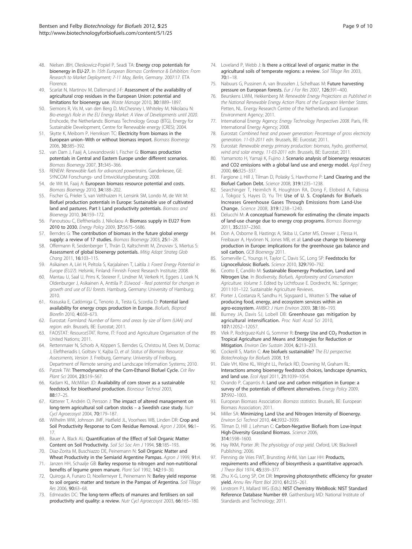- <span id="page-8-0"></span>48. Nielsen JBH, Oleskowicz-Popiel P, Seadi TA: Energy crop potentials for bioenergy in EU-27. In 15th European Biomass Conference & Exhibition: From Research to Market Deployment; 7-11 May, Berlin, Germany. 2007:17. ETA Florence.
- 49. Scarlat N, Martinov M, Dallemand J-F: Assessment of the availability of agricultural crop residues in the European Union: potential and limitations for bioenergy use. Waste Manage 2010, 30:1889–1897.
- 50. Siemons R, Vis M, van den Berg D, McChesney I, Whiteley M, Nikolaou N: Bio-energy's Role in the EU Energy Market: A View of Developments until 2020. Enshcede, the Netherlands: Biomass Technology Group (BTG), Energy for Sustainable Development, Centre for Renewable energy (CRES); 2004.
- 51. Skytte K, Meibom P, Henriksen TC: Electricity from biomass in the European union–With or without biomass import. Biomass Bioenergy 2006, 30:385–392.
- 52. van Dam J, Faaij A, Lewandowski I, Fischer G: Biomass production potentials in Central and Eastern Europe under different scenarios. Biomass Bioenergy 2007, 31:345–366.
- 53. RENEW: Renewable fuels for advanced powertrains. Ganderkesee, GE: SYNCOM Forschungs- und Entwicklungsberatung; 2008.
- 54. de Wit M, Faaij A: European biomass resource potential and costs. Biomass Bioenergy 2010, 34:188–202.
- 55. Fischer G, Prieler S, van Velthuizen H, Lensink SM, Londo M, de Wit M: Biofuel production potentials in Europe: Sustainable use of cultivated land and pastures. Part I: Land productivity potentials. Biomass and Bioenergy 2010, 34:159–172.
- 56. Panoutsou C, Eleftheriadis J, Nikolaou A: Biomass supply in EU27 from 2010 to 2030. Energy Policy 2009, 37:5675–5686.
- 57. Berndes G: The contribution of biomass in the future global energy supply: a review of 17 studies. Biomass Bioenergy 2003, 25:1-28.
- 58. Offermann R, Seidenberger T, Thrän D, Kaltschmitt M, Zinoviev S, Miertus S: Assessment of global bioenergy potentials. Mitig Adapt Strateg Glob Chang 2011, 16:103–115.
- 59. Asikainen A, Liiri H, Peltola S, Karjalainen T, Laitila J: Forest Energy Potential in Europe (EU27). Helsinki, Finland: Finnish Forest Research Institute; 2008.
- 60. Mantau U, Saal U, Prins K, Steierer F, Lindner M, Verkerk H, Eggers J, Leek N, Oldenburger J, Asikainen A, Anttila P: EUwood - Real potential for changes in growth and use of EU forests. Hamburg, Germany: University of Hamburg; 2010.
- 61. Krasuska E, Cadórniga C, Tenorio JL, Testa G, Scordia D: Potential land availability for energy crops production in Europe. Biofuels, Bioprod Biorefin 2010, 4:658–673.
- 62. Eurostat: Farmland: Number of farms and areas by size of farm (UAA) and region. edn. Brussels, BE: Eurostat; 2011.
- 63. FAOSTAT: ResourceSTAT. Rome, IT: Food and Agriculture Organisation of the United Nations; 2011.
- 64. Rettenmaier N, Schorb A, Köppen S, Berndes G, Christou M, Dees M, Domac J, Eleftheriadis I, Goltsev V, Kajba D, et al: Status of Biomass Resource Assessments, Version 3. Freiburg, Germany: University of Freiburg, Department of Remote sensing and Landscape Information Systems; 2010.
- 65. Patzek TW: Thermodynamics of the Corn-Ethanol Biofuel Cycle. Crit Rev Plant Sci 2004, 23:519–567.
- 66. Kadam KL, McMillan JD: Availability of corn stover as a sustainable feedstock for bioethanol production. Bioresour Technol 2003, 88:17–25.
- 67. Kätterer T, Andrén O, Persson J: The impact of altered management on long-term agricultural soil carbon stocks – a Swedish case study. Nutr Cycl Agroecosyst 2004, 70:179–187.
- 68. Wilhelm WW, Johnson JMF, Hatfield JL, Voorhees WB, Linden DR: Crop and Soil Productivity Response to Corn Residue Removal. Agron J 2004, 96:1– 17.
- 69. Bauer A, Black AL: Quantification of the Effect of Soil Organic Matter Content on Soil Productivity. Soil Sci Soc Am J 1994, 58:185–193.
- 70. Diaz-Zorita M, Buschiazzo DE, Peinemann N: Soil Organic Matter and Wheat Productivity in the Semiarid Argentine Pampas. Agron J 1999, 91:4.
- 71. Janzen HH, Schaalje GB: Barley response to nitrogen and non-nutritional benefits of legume green manure. Plant Soil 1992, 142:19–30.
- 72. Quiroga A, Funaro D, Noellemeyer E, Peinemann N: Barley yield response to soil organic matter and texture in the Pampas of Argentina. Soil Tillage Res 2006, 90:63–68.
- 73. Edmeades DC: The long-term effects of manures and fertilisers on soil productivity and quality: a review. Nutr Cycl Agroecosyst 2003, 66:165–180.
- 74. Loveland P, Webb J: Is there a critical level of organic matter in the agricultural soils of temperate regions: a review. Soil Tillage Res 2003, 70:1–18.
- 75. Nabuurs G, Pussinen A, van Brusselen J, Schelhaas M: Future harvesting pressure on European forests. Eur J For Res 2007, 126:391–400.
- 76. Beurskens LWM, Hekkenberg M: Renewable Energy Projections as Published in the National Renewable Energy Action Plans of the European Member States. Petten, NL. Energy Research Centre of the Netherlands and European Environment Agency; 2011.
- 77. International Energy Agency: Energy Technology Perspectives 2008. Paris, FR: International Energy Agency; 2008.
- 78. Eurostat: Combined heat and power generation: Percentage of gross electricity generation. 11-03-2011 edn. Brussels, BE: Eurostat; 2011.
- 79. Eurostat: Renewable energy primary production: biomass, hydro, geothermal, wind and solar energy. 11-03-2011 edn. Brussels, BE: Eurostat; 2011.
- 80. Yamamoto H, Yamaji K, Fujino J: Scenario analysis of bioenergy resources and CO2 emissions with a global land use and energy model. Appl Energ 2000, 66:325–337.
- 81. Fargione J, Hill J, Tilman D, Polasky S, Hawthorne P: Land Clearing and the Biofuel Carbon Debt. Science 2008, 319:1235–1238.
- 82. Searchinger T, Heimlich R, Houghton RA, Dong F, Elobeid A, Fabiosa J, Tokgoz S, Hayes D, Yu TH: Use of U. S. Croplands for Biofuels Increases Greenhouse Gases Through Emissions from Land-Use Change. Science 2008, 319:1238–1240.
- 83. Delucchi M: A conceptual framework for estimating the climate impacts of land-use change due to energy crop programs. Biomass Bioenergy 2011, 35:2337–2360.
- 84. Don A, Osborne B, Hastings A, Skiba U, Carter MS, Drewer J, Flessa H, Freibauer A, Hyvönen N, Jones MB, et al: Land-use change to bioenergy production in Europe: implications for the greenhouse gas balance and soil carbon. GCB Bioenergy 2011.
- 85. Somerville C, Youngs H, Taylor C, Davis SC, Long SP: Feedstocks for Lignocellulosic Biofuels. Science 2010, 329:790–792.
- 86. Ceotto E, Candilo M: Sustainable Bioenergy Production, Land and Nitrogen Use. In Biodiversity, Biofuels, Agroforestry and Conservation Agriculture. Volume 5. Edited by Lichtfouse E. Dordrecht, NL: Springer; 2011:101–122. Sustainable Agriculture Reviews.
- 87. Porter J, Costanza R, Sandhu H, Sigsgaard L, Wratten S: The value of producing food, energy, and ecosystem services within an agro-ecosystem. AMBIO: J Hum Environ 2009, 38:186–193.
- Burney JA, Davis SJ, Lobell DB: Greenhouse gas mitigation by agricultural intensification. Proc Natl Acad Sci 2010, 107:12052–12057.
- 89. Vlek P, Rodríguez-Kuhl G, Sommer R: Energy Use and CO<sub>2</sub> Production in Tropical Agriculture and Means and Strategies for Reduction or Mitigation. Environ Dev Sustain 2004, 6:213–233.
- 90. Cockerill S, Martin C: Are biofuels sustainable? The EU perspective. Biotechnology for Biofuels 2008, 1:9.
- Dale VH, Kline KL, Wright LL, Perlack RD, Downing M, Graham RL: Interactions among bioenergy feedstock choices, landscape dynamics, and land use. Ecol Appl 2011, 21:1039–1054.
- 92. Ovando P, Caparrós A: Land use and carbon mitigation in Europe: a survey of the potentials of different alternatives. Energy Policy 2009, 37:992–1003.
- 93. European Biomass Association: Biomass statistics. Brussels, BE: European Biomass Association; 2011.
- 94. Miller SA: Minimizing Land Use and Nitrogen Intensity of Bioenergy. Environ Sci Technol 2010, 44:3932–3939.
- 95. Tilman D, Hill J, Lehman C: Carbon-Negative Biofuels from Low-Input High-Diversity Grassland Biomass. Science 2006, 314:1598–1600.
- 96. Hay RKM, Porter JR: The physiology of crop yield. Oxford, UK: Blackwell Publishing; 2006.
- 97. Penning de Vries FWT, Brunsting AHM, Van Laar HH: Products, requirements and efficiency of biosynthesis a quantitative approach. J Theor Biol 1974, 45:339-377.
- 98. Zhu X-G, Long SP, Ort DR: Improving photosynthetic efficiency for greater yield. Annu Rev Plant Biol 2010, 61:235-261
- 99. Linstrom PJ, Mallard WG (Eds.): NIST Chemistry WebBook: NIST Standard Reference Database Number 69. Gaithersburg MD: National Institute of Standards and Technology; 2011.